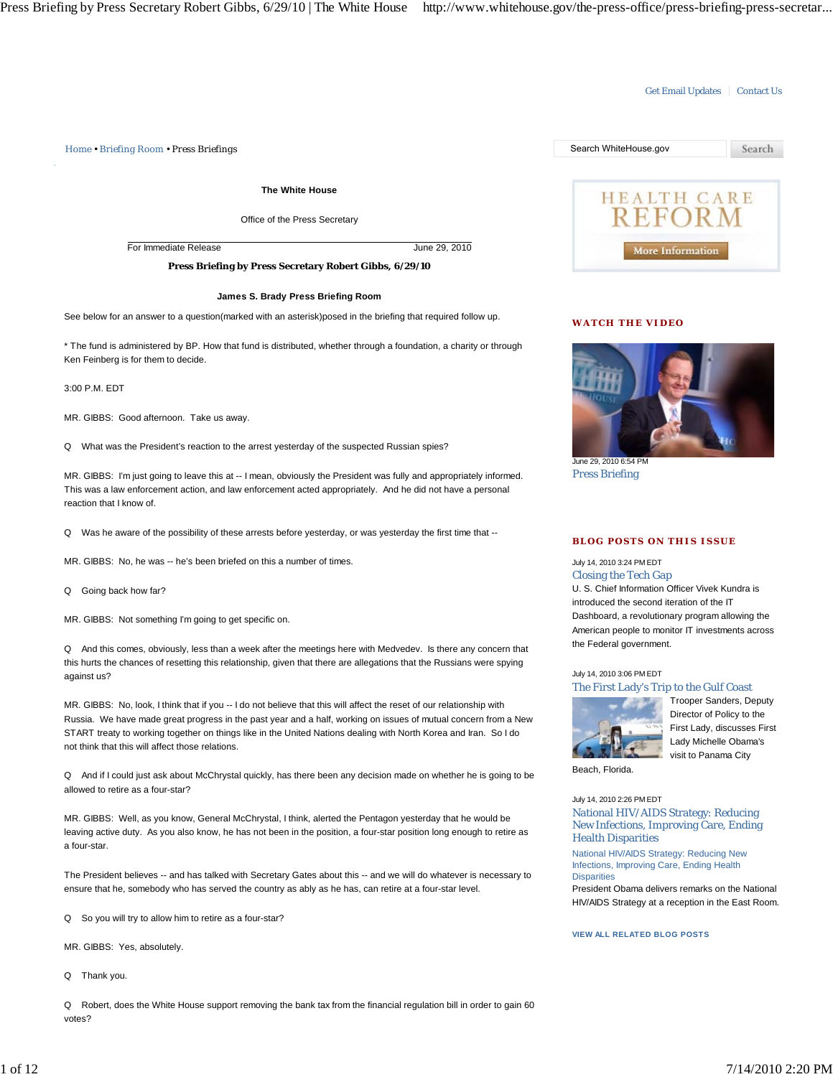### Get Email Updates | Contact Us

*Home • Briefing Room • Press Briefings* Search WhiteHouse.gov Search **The White House** HEALTH CARE Office of the Press Secretary For Immediate Release June 29, 2010 More Information **Press Briefing by Press Secretary Robert Gibbs, 6/29/10 James S. Brady Press Briefing Room** See below for an answer to a question(marked with an asterisk)posed in the briefing that required follow up. **WATCH THE VIDEO** \* The fund is administered by BP. How that fund is distributed, whether through a foundation, a charity or through Ken Feinberg is for them to decide.

3:00 P.M. EDT

MR. GIBBS: Good afternoon. Take us away.

Q What was the President's reaction to the arrest yesterday of the suspected Russian spies?

MR. GIBBS: I'm just going to leave this at -- I mean, obviously the President was fully and appropriately informed. This was a law enforcement action, and law enforcement acted appropriately. And he did not have a personal reaction that I know of.

Q Was he aware of the possibility of these arrests before yesterday, or was yesterday the first time that --

MR. GIBBS: No, he was -- he's been briefed on this a number of times.

Q Going back how far?

MR. GIBBS: Not something I'm going to get specific on.

Q And this comes, obviously, less than a week after the meetings here with Medvedev. Is there any concern that this hurts the chances of resetting this relationship, given that there are allegations that the Russians were spying against us?

MR. GIBBS: No, look, I think that if you -- I do not believe that this will affect the reset of our relationship with Russia. We have made great progress in the past year and a half, working on issues of mutual concern from a New START treaty to working together on things like in the United Nations dealing with North Korea and Iran. So I do not think that this will affect those relations.

Q And if I could just ask about McChrystal quickly, has there been any decision made on whether he is going to be allowed to retire as a four-star?

MR. GIBBS: Well, as you know, General McChrystal, I think, alerted the Pentagon yesterday that he would be leaving active duty. As you also know, he has not been in the position, a four-star position long enough to retire as a four-star.

The President believes -- and has talked with Secretary Gates about this -- and we will do whatever is necessary to ensure that he, somebody who has served the country as ably as he has, can retire at a four-star level.

Q So you will try to allow him to retire as a four-star?

MR. GIBBS: Yes, absolutely.

Q Thank you.

Q Robert, does the White House support removing the bank tax from the financial regulation bill in order to gain 60 votes?



June 29, 2010 6:54 PM Press Briefing

#### **BLOG POSTS ON THIS ISSUE**

July 14, 2010 3:24 PM EDT Closing the Tech Gap

U. S. Chief Information Officer Vivek Kundra is introduced the second iteration of the IT Dashboard, a revolutionary program allowing the American people to monitor IT investments across the Federal government.

# July 14, 2010 3:06 PM EDT The First Lady's Trip to the Gulf Coast



Trooper Sanders, Deputy Director of Policy to the First Lady, discusses First Lady Michelle Obama's visit to Panama City

Beach, Florida.

National HIV/AIDS Strategy: Reducing New July 14, 2010 2:26 PM EDT National HIV/AIDS Strategy: Reducing New Infections, Improving Care, Ending Health Disparities

Infections, Improving Care, Ending Health **Disparities** 

President Obama delivers remarks on the National HIV/AIDS Strategy at a reception in the East Room.

# **VIEW ALL RELATED BLOG POSTS**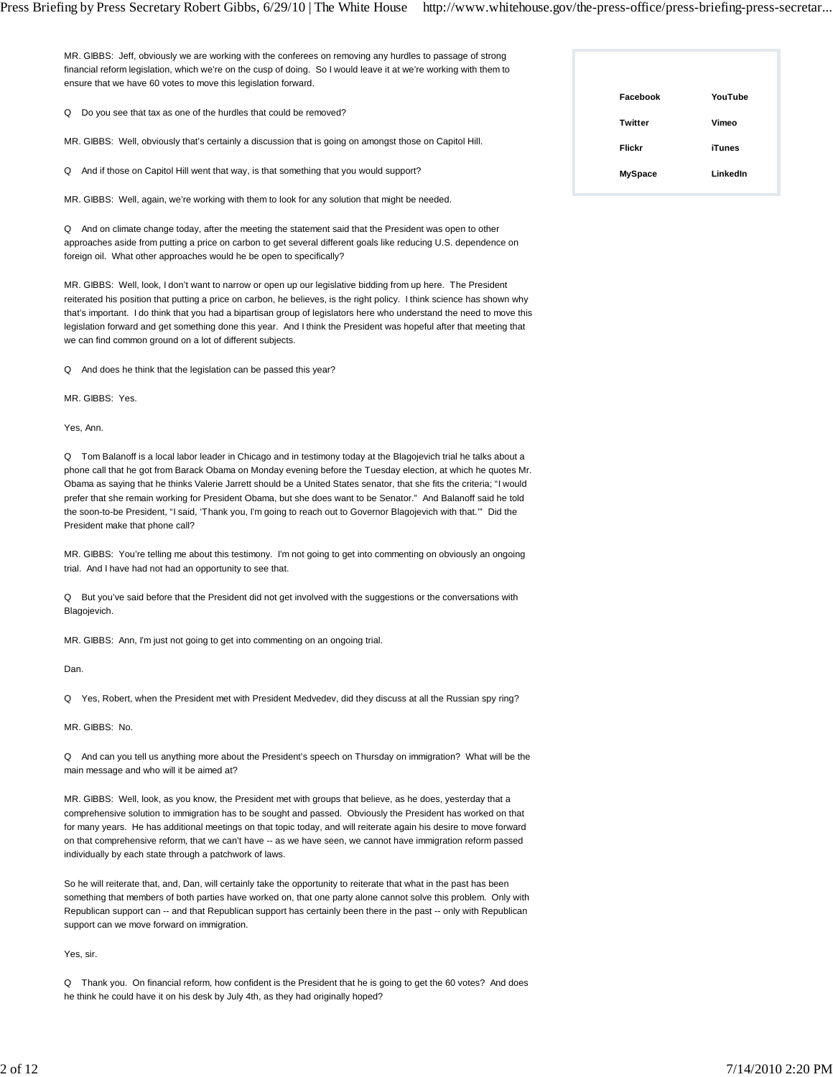Press Briefing by Press Secretary Robert Gibbs, 6/29/10 | The White House http://www.whitehouse.gov/the-press-office/press-briefing-press-secretar...

MR. GIBBS: Jeff, obviously we are working with the conferees on removing any hurdles to passage of strong financial reform legislation, which we're on the cusp of doing. So I would leave it at we're working with them to ensure that we have 60 votes to move this legislation forward.

Q Do you see that tax as one of the hurdles that could be removed?

MR. GIBBS: Well, obviously that's certainly a discussion that is going on amongst those on Capitol Hill.

Q And if those on Capitol Hill went that way, is that something that you would support?

MR. GIBBS: Well, again, we're working with them to look for any solution that might be needed.

Q And on climate change today, after the meeting the statement said that the President was open to other approaches aside from putting a price on carbon to get several different goals like reducing U.S. dependence on foreign oil. What other approaches would he be open to specifically?

MR. GIBBS: Well, look, I don't want to narrow or open up our legislative bidding from up here. The President reiterated his position that putting a price on carbon, he believes, is the right policy. I think science has shown why that's important. I do think that you had a bipartisan group of legislators here who understand the need to move this legislation forward and get something done this year. And I think the President was hopeful after that meeting that we can find common ground on a lot of different subjects.

Q And does he think that the legislation can be passed this year?

MR. GIBBS: Yes.

Yes, Ann.

Q Tom Balanoff is a local labor leader in Chicago and in testimony today at the Blagojevich trial he talks about a phone call that he got from Barack Obama on Monday evening before the Tuesday election, at which he quotes Mr. Obama as saying that he thinks Valerie Jarrett should be a United States senator, that she fits the criteria; "I would prefer that she remain working for President Obama, but she does want to be Senator." And Balanoff said he told the soon-to-be President, "I said, 'Thank you, I'm going to reach out to Governor Blagojevich with that.'" Did the President make that phone call?

MR. GIBBS: You're telling me about this testimony. I'm not going to get into commenting on obviously an ongoing trial. And I have had not had an opportunity to see that.

Q But you've said before that the President did not get involved with the suggestions or the conversations with Blagojevich.

MR. GIBBS: Ann, I'm just not going to get into commenting on an ongoing trial.

Dan.

Q Yes, Robert, when the President met with President Medvedev, did they discuss at all the Russian spy ring?

MR. GIBBS: No.

Q And can you tell us anything more about the President's speech on Thursday on immigration? What will be the main message and who will it be aimed at?

MR. GIBBS: Well, look, as you know, the President met with groups that believe, as he does, yesterday that a comprehensive solution to immigration has to be sought and passed. Obviously the President has worked on that for many years. He has additional meetings on that topic today, and will reiterate again his desire to move forward on that comprehensive reform, that we can't have -- as we have seen, we cannot have immigration reform passed individually by each state through a patchwork of laws.

So he will reiterate that, and, Dan, will certainly take the opportunity to reiterate that what in the past has been something that members of both parties have worked on, that one party alone cannot solve this problem. Only with Republican support can -- and that Republican support has certainly been there in the past -- only with Republican support can we move forward on immigration.

Yes, sir.

Q Thank you. On financial reform, how confident is the President that he is going to get the 60 votes? And does he think he could have it on his desk by July 4th, as they had originally hoped?

| Facebook       | YouTube       |
|----------------|---------------|
| <b>Twitter</b> | Vimeo         |
| <b>Flickr</b>  | <b>iTunes</b> |
| <b>MySpace</b> | LinkedIn      |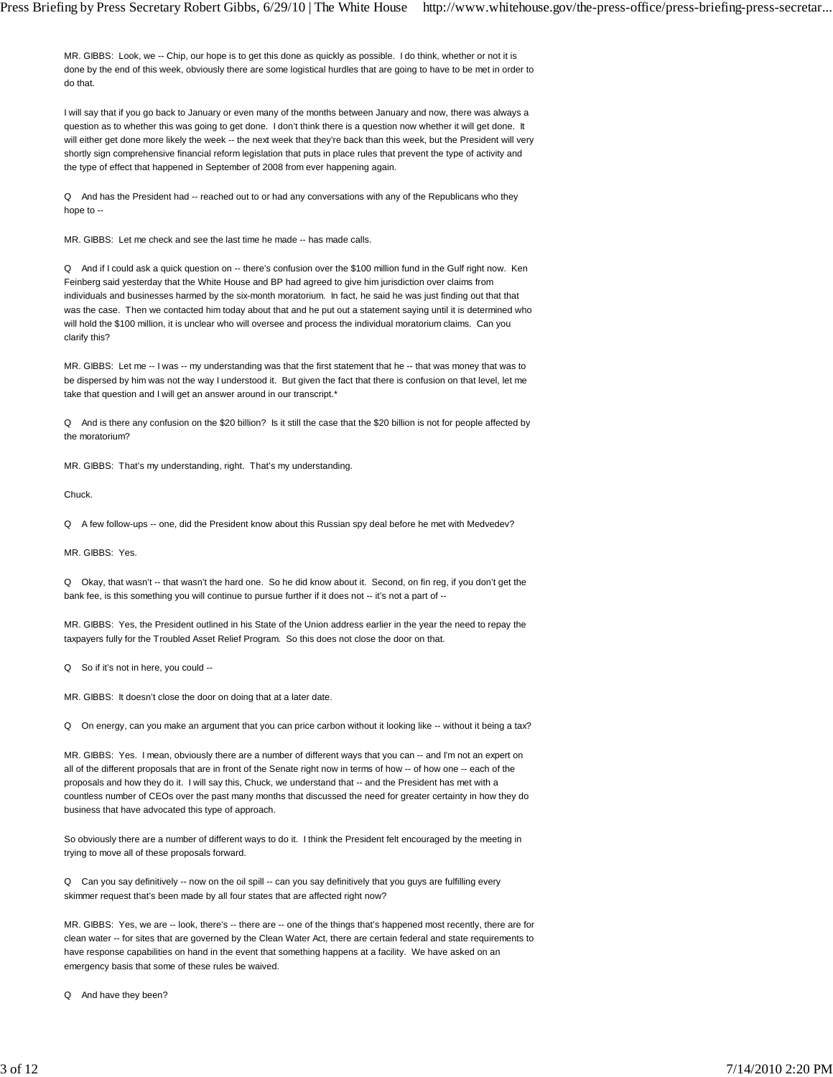MR. GIBBS: Look, we -- Chip, our hope is to get this done as quickly as possible. I do think, whether or not it is done by the end of this week, obviously there are some logistical hurdles that are going to have to be met in order to do that.

I will say that if you go back to January or even many of the months between January and now, there was always a question as to whether this was going to get done. I don't think there is a question now whether it will get done. It will either get done more likely the week -- the next week that they're back than this week, but the President will very shortly sign comprehensive financial reform legislation that puts in place rules that prevent the type of activity and the type of effect that happened in September of 2008 from ever happening again.

Q And has the President had -- reached out to or had any conversations with any of the Republicans who they hope to --

MR. GIBBS: Let me check and see the last time he made -- has made calls.

Q And if I could ask a quick question on -- there's confusion over the \$100 million fund in the Gulf right now. Ken Feinberg said yesterday that the White House and BP had agreed to give him jurisdiction over claims from individuals and businesses harmed by the six-month moratorium. In fact, he said he was just finding out that that was the case. Then we contacted him today about that and he put out a statement saying until it is determined who will hold the \$100 million, it is unclear who will oversee and process the individual moratorium claims. Can you clarify this?

MR. GIBBS: Let me -- I was -- my understanding was that the first statement that he -- that was money that was to be dispersed by him was not the way I understood it. But given the fact that there is confusion on that level, let me take that question and I will get an answer around in our transcript.\*

Q And is there any confusion on the \$20 billion? Is it still the case that the \$20 billion is not for people affected by the moratorium?

MR. GIBBS: That's my understanding, right. That's my understanding.

Chuck.

Q A few follow-ups -- one, did the President know about this Russian spy deal before he met with Medvedev?

MR. GIBBS: Yes.

Q Okay, that wasn't -- that wasn't the hard one. So he did know about it. Second, on fin reg, if you don't get the bank fee, is this something you will continue to pursue further if it does not -- it's not a part of --

MR. GIBBS: Yes, the President outlined in his State of the Union address earlier in the year the need to repay the taxpayers fully for the Troubled Asset Relief Program. So this does not close the door on that.

Q So if it's not in here, you could --

MR. GIBBS: It doesn't close the door on doing that at a later date.

Q On energy, can you make an argument that you can price carbon without it looking like -- without it being a tax?

MR. GIBBS: Yes. I mean, obviously there are a number of different ways that you can -- and I'm not an expert on all of the different proposals that are in front of the Senate right now in terms of how -- of how one -- each of the proposals and how they do it. I will say this, Chuck, we understand that -- and the President has met with a countless number of CEOs over the past many months that discussed the need for greater certainty in how they do business that have advocated this type of approach.

So obviously there are a number of different ways to do it. I think the President felt encouraged by the meeting in trying to move all of these proposals forward.

Q Can you say definitively -- now on the oil spill -- can you say definitively that you guys are fulfilling every skimmer request that's been made by all four states that are affected right now?

MR. GIBBS: Yes, we are -- look, there's -- there are -- one of the things that's happened most recently, there are for clean water -- for sites that are governed by the Clean Water Act, there are certain federal and state requirements to have response capabilities on hand in the event that something happens at a facility. We have asked on an emergency basis that some of these rules be waived.

Q And have they been?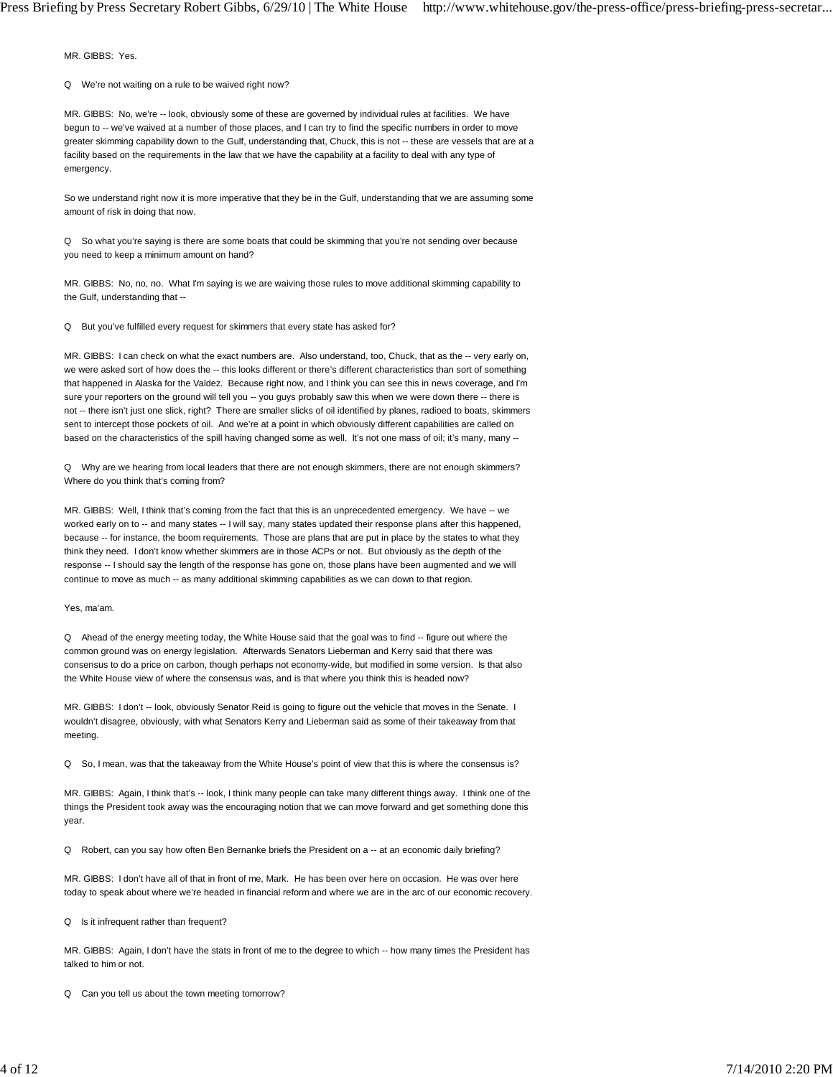MR. GIBBS: Yes.

Q We're not waiting on a rule to be waived right now?

MR. GIBBS: No, we're -- look, obviously some of these are governed by individual rules at facilities. We have begun to -- we've waived at a number of those places, and I can try to find the specific numbers in order to move greater skimming capability down to the Gulf, understanding that, Chuck, this is not -- these are vessels that are at a facility based on the requirements in the law that we have the capability at a facility to deal with any type of emergency.

So we understand right now it is more imperative that they be in the Gulf, understanding that we are assuming some amount of risk in doing that now.

Q So what you're saying is there are some boats that could be skimming that you're not sending over because you need to keep a minimum amount on hand?

MR. GIBBS: No, no, no. What I'm saying is we are waiving those rules to move additional skimming capability to the Gulf, understanding that --

Q But you've fulfilled every request for skimmers that every state has asked for?

MR. GIBBS: I can check on what the exact numbers are. Also understand, too, Chuck, that as the -- very early on, we were asked sort of how does the -- this looks different or there's different characteristics than sort of something that happened in Alaska for the Valdez. Because right now, and I think you can see this in news coverage, and I'm sure your reporters on the ground will tell you -- you guys probably saw this when we were down there -- there is not -- there isn't just one slick, right? There are smaller slicks of oil identified by planes, radioed to boats, skimmers sent to intercept those pockets of oil. And we're at a point in which obviously different capabilities are called on based on the characteristics of the spill having changed some as well. It's not one mass of oil; it's many, many --

Q Why are we hearing from local leaders that there are not enough skimmers, there are not enough skimmers? Where do you think that's coming from?

MR. GIBBS: Well, I think that's coming from the fact that this is an unprecedented emergency. We have -- we worked early on to -- and many states -- I will say, many states updated their response plans after this happened, because -- for instance, the boom requirements. Those are plans that are put in place by the states to what they think they need. I don't know whether skimmers are in those ACPs or not. But obviously as the depth of the response -- I should say the length of the response has gone on, those plans have been augmented and we will continue to move as much -- as many additional skimming capabilities as we can down to that region.

Yes, ma'am.

Q Ahead of the energy meeting today, the White House said that the goal was to find -- figure out where the common ground was on energy legislation. Afterwards Senators Lieberman and Kerry said that there was consensus to do a price on carbon, though perhaps not economy-wide, but modified in some version. Is that also the White House view of where the consensus was, and is that where you think this is headed now?

MR. GIBBS: I don't -- look, obviously Senator Reid is going to figure out the vehicle that moves in the Senate. I wouldn't disagree, obviously, with what Senators Kerry and Lieberman said as some of their takeaway from that meeting.

Q So, I mean, was that the takeaway from the White House's point of view that this is where the consensus is?

MR. GIBBS: Again, I think that's -- look, I think many people can take many different things away. I think one of the things the President took away was the encouraging notion that we can move forward and get something done this year.

Q Robert, can you say how often Ben Bernanke briefs the President on a -- at an economic daily briefing?

MR. GIBBS: I don't have all of that in front of me, Mark. He has been over here on occasion. He was over here today to speak about where we're headed in financial reform and where we are in the arc of our economic recovery.

Q Is it infrequent rather than frequent?

MR. GIBBS: Again, I don't have the stats in front of me to the degree to which -- how many times the President has talked to him or not.

Q Can you tell us about the town meeting tomorrow?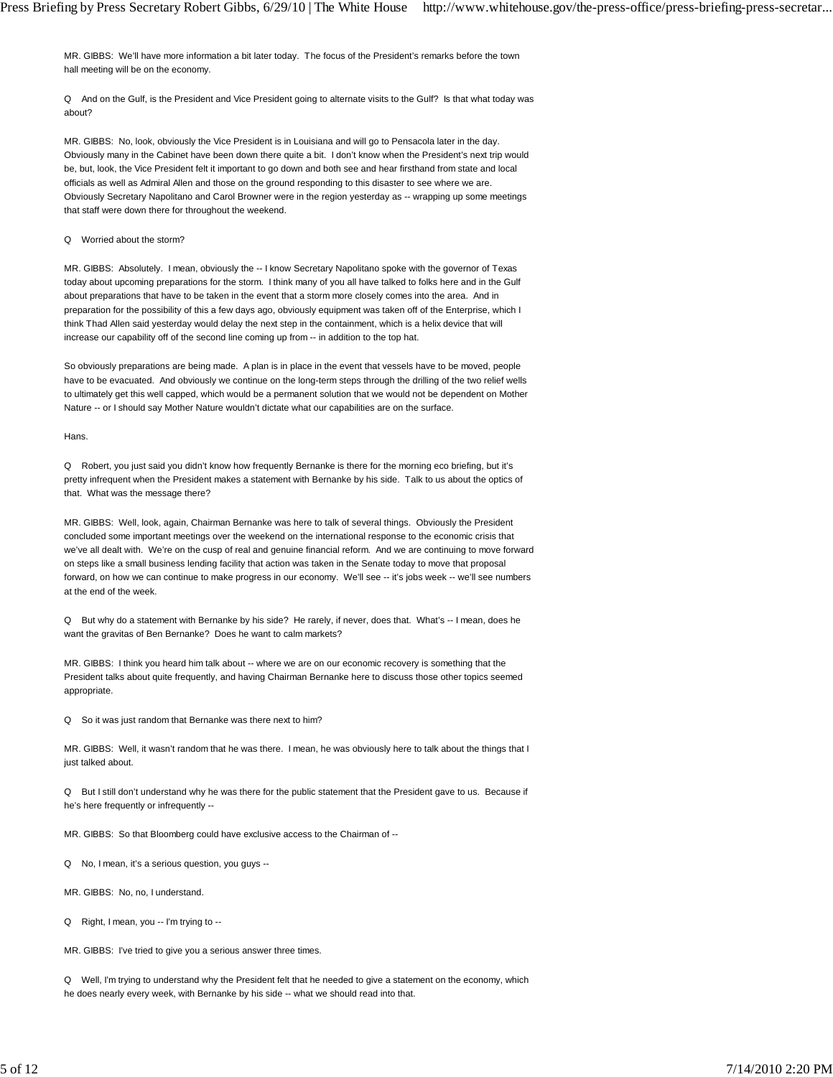MR. GIBBS: We'll have more information a bit later today. The focus of the President's remarks before the town hall meeting will be on the economy.

Q And on the Gulf, is the President and Vice President going to alternate visits to the Gulf? Is that what today was about?

MR. GIBBS: No, look, obviously the Vice President is in Louisiana and will go to Pensacola later in the day. Obviously many in the Cabinet have been down there quite a bit. I don't know when the President's next trip would be, but, look, the Vice President felt it important to go down and both see and hear firsthand from state and local officials as well as Admiral Allen and those on the ground responding to this disaster to see where we are. Obviously Secretary Napolitano and Carol Browner were in the region yesterday as -- wrapping up some meetings that staff were down there for throughout the weekend.

#### Q Worried about the storm?

MR. GIBBS: Absolutely. I mean, obviously the -- I know Secretary Napolitano spoke with the governor of Texas today about upcoming preparations for the storm. I think many of you all have talked to folks here and in the Gulf about preparations that have to be taken in the event that a storm more closely comes into the area. And in preparation for the possibility of this a few days ago, obviously equipment was taken off of the Enterprise, which I think Thad Allen said yesterday would delay the next step in the containment, which is a helix device that will increase our capability off of the second line coming up from -- in addition to the top hat.

So obviously preparations are being made. A plan is in place in the event that vessels have to be moved, people have to be evacuated. And obviously we continue on the long-term steps through the drilling of the two relief wells to ultimately get this well capped, which would be a permanent solution that we would not be dependent on Mother Nature -- or I should say Mother Nature wouldn't dictate what our capabilities are on the surface.

Hans.

Q Robert, you just said you didn't know how frequently Bernanke is there for the morning eco briefing, but it's pretty infrequent when the President makes a statement with Bernanke by his side. Talk to us about the optics of that. What was the message there?

MR. GIBBS: Well, look, again, Chairman Bernanke was here to talk of several things. Obviously the President concluded some important meetings over the weekend on the international response to the economic crisis that we've all dealt with. We're on the cusp of real and genuine financial reform. And we are continuing to move forward on steps like a small business lending facility that action was taken in the Senate today to move that proposal forward, on how we can continue to make progress in our economy. We'll see -- it's jobs week -- we'll see numbers at the end of the week.

Q But why do a statement with Bernanke by his side? He rarely, if never, does that. What's -- I mean, does he want the gravitas of Ben Bernanke? Does he want to calm markets?

MR. GIBBS: I think you heard him talk about -- where we are on our economic recovery is something that the President talks about quite frequently, and having Chairman Bernanke here to discuss those other topics seemed appropriate.

Q So it was just random that Bernanke was there next to him?

MR. GIBBS: Well, it wasn't random that he was there. I mean, he was obviously here to talk about the things that I just talked about.

Q But I still don't understand why he was there for the public statement that the President gave to us. Because if he's here frequently or infrequently --

MR. GIBBS: So that Bloomberg could have exclusive access to the Chairman of --

Q No, I mean, it's a serious question, you guys --

MR. GIBBS: No, no, I understand.

Q Right, I mean, you -- I'm trying to --

MR. GIBBS: I've tried to give you a serious answer three times.

Q Well, I'm trying to understand why the President felt that he needed to give a statement on the economy, which he does nearly every week, with Bernanke by his side -- what we should read into that.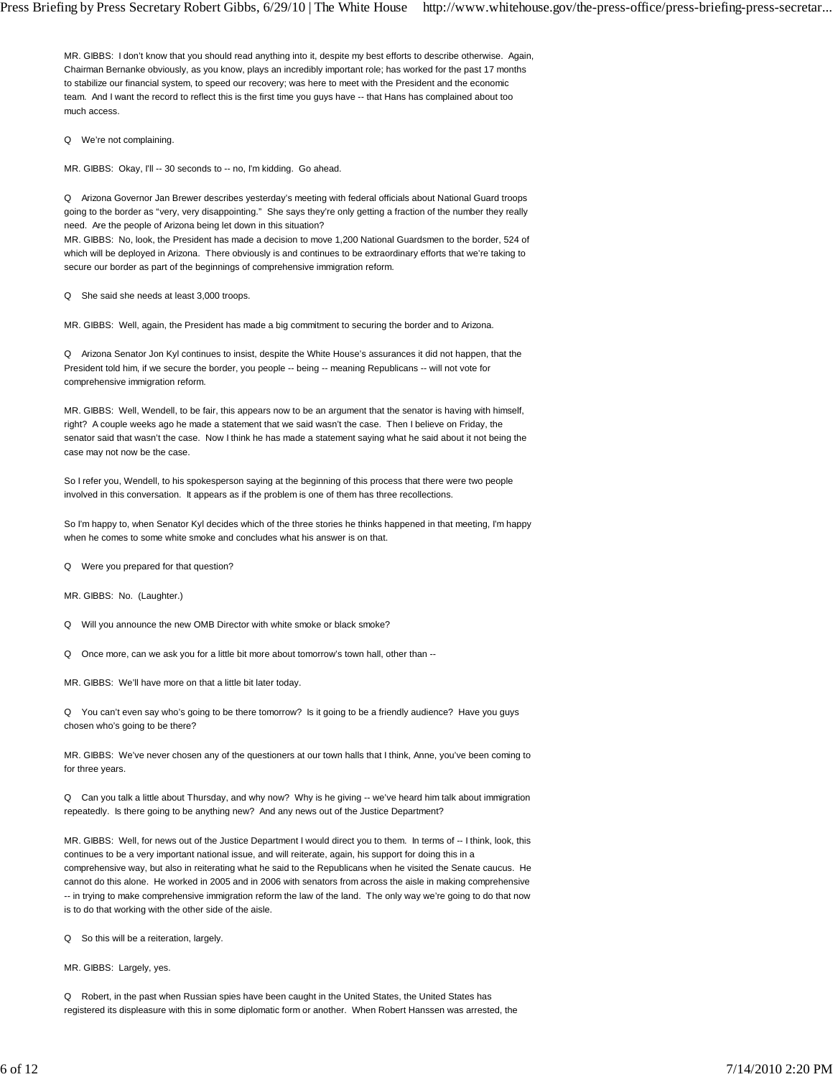MR. GIBBS: I don't know that you should read anything into it, despite my best efforts to describe otherwise. Again, Chairman Bernanke obviously, as you know, plays an incredibly important role; has worked for the past 17 months to stabilize our financial system, to speed our recovery; was here to meet with the President and the economic team. And I want the record to reflect this is the first time you guys have -- that Hans has complained about too much access.

Q We're not complaining.

MR. GIBBS: Okay, I'll -- 30 seconds to -- no, I'm kidding. Go ahead.

Q Arizona Governor Jan Brewer describes yesterday's meeting with federal officials about National Guard troops going to the border as "very, very disappointing." She says they're only getting a fraction of the number they really need. Are the people of Arizona being let down in this situation?

MR. GIBBS: No, look, the President has made a decision to move 1,200 National Guardsmen to the border, 524 of which will be deployed in Arizona. There obviously is and continues to be extraordinary efforts that we're taking to secure our border as part of the beginnings of comprehensive immigration reform.

Q She said she needs at least 3,000 troops.

MR. GIBBS: Well, again, the President has made a big commitment to securing the border and to Arizona.

Q Arizona Senator Jon Kyl continues to insist, despite the White House's assurances it did not happen, that the President told him, if we secure the border, you people -- being -- meaning Republicans -- will not vote for comprehensive immigration reform.

MR. GIBBS: Well, Wendell, to be fair, this appears now to be an argument that the senator is having with himself, right? A couple weeks ago he made a statement that we said wasn't the case. Then I believe on Friday, the senator said that wasn't the case. Now I think he has made a statement saying what he said about it not being the case may not now be the case.

So I refer you, Wendell, to his spokesperson saying at the beginning of this process that there were two people involved in this conversation. It appears as if the problem is one of them has three recollections.

So I'm happy to, when Senator Kyl decides which of the three stories he thinks happened in that meeting, I'm happy when he comes to some white smoke and concludes what his answer is on that.

Q Were you prepared for that question?

MR. GIBBS: No. (Laughter.)

Q Will you announce the new OMB Director with white smoke or black smoke?

Q Once more, can we ask you for a little bit more about tomorrow's town hall, other than --

MR. GIBBS: We'll have more on that a little bit later today.

Q You can't even say who's going to be there tomorrow? Is it going to be a friendly audience? Have you guys chosen who's going to be there?

MR. GIBBS: We've never chosen any of the questioners at our town halls that I think, Anne, you've been coming to for three years.

Q Can you talk a little about Thursday, and why now? Why is he giving -- we've heard him talk about immigration repeatedly. Is there going to be anything new? And any news out of the Justice Department?

MR. GIBBS: Well, for news out of the Justice Department I would direct you to them. In terms of -- I think, look, this continues to be a very important national issue, and will reiterate, again, his support for doing this in a comprehensive way, but also in reiterating what he said to the Republicans when he visited the Senate caucus. He cannot do this alone. He worked in 2005 and in 2006 with senators from across the aisle in making comprehensive -- in trying to make comprehensive immigration reform the law of the land. The only way we're going to do that now is to do that working with the other side of the aisle.

Q So this will be a reiteration, largely.

MR. GIBBS: Largely, yes.

Q Robert, in the past when Russian spies have been caught in the United States, the United States has registered its displeasure with this in some diplomatic form or another. When Robert Hanssen was arrested, the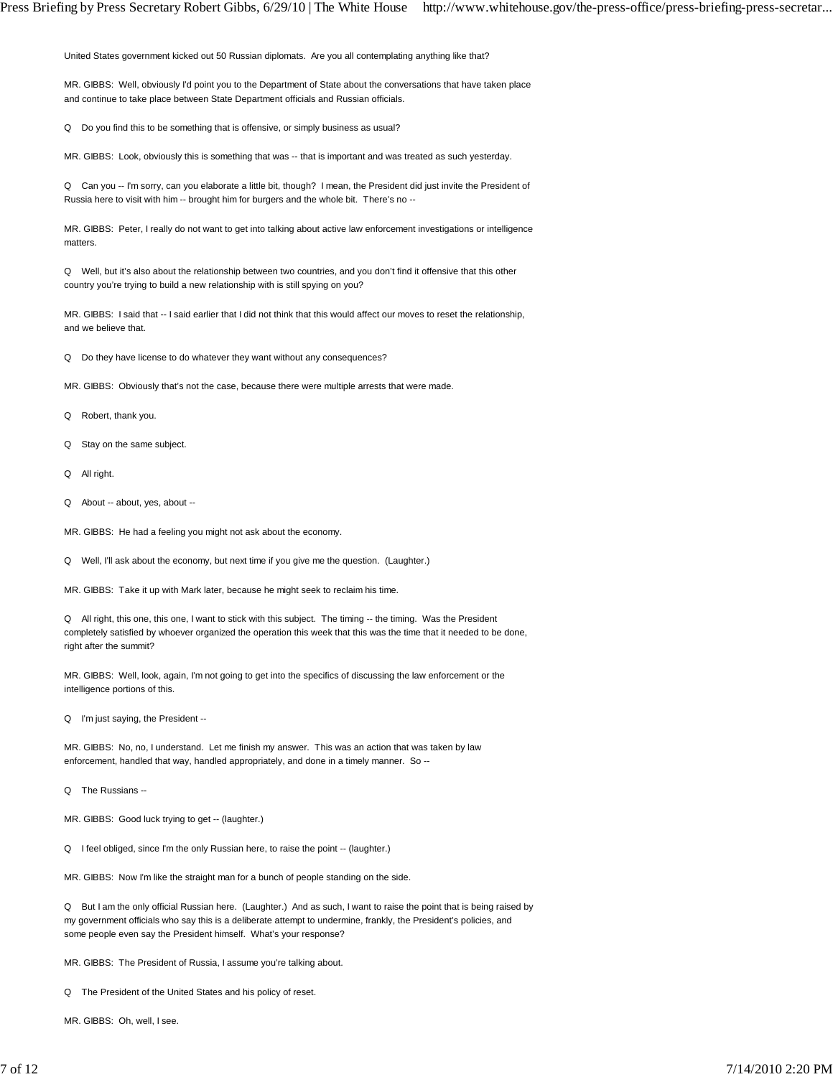United States government kicked out 50 Russian diplomats. Are you all contemplating anything like that?

MR. GIBBS: Well, obviously I'd point you to the Department of State about the conversations that have taken place and continue to take place between State Department officials and Russian officials.

Q Do you find this to be something that is offensive, or simply business as usual?

MR. GIBBS: Look, obviously this is something that was -- that is important and was treated as such yesterday.

Q Can you -- I'm sorry, can you elaborate a little bit, though? I mean, the President did just invite the President of Russia here to visit with him -- brought him for burgers and the whole bit. There's no --

MR. GIBBS: Peter, I really do not want to get into talking about active law enforcement investigations or intelligence matters.

Q Well, but it's also about the relationship between two countries, and you don't find it offensive that this other country you're trying to build a new relationship with is still spying on you?

MR. GIBBS: I said that -- I said earlier that I did not think that this would affect our moves to reset the relationship, and we believe that.

Q Do they have license to do whatever they want without any consequences?

MR. GIBBS: Obviously that's not the case, because there were multiple arrests that were made.

Q Robert, thank you.

- Q Stay on the same subject.
- Q All right.
- Q About -- about, yes, about --
- MR. GIBBS: He had a feeling you might not ask about the economy.
- Q Well, I'll ask about the economy, but next time if you give me the question. (Laughter.)

MR. GIBBS: Take it up with Mark later, because he might seek to reclaim his time.

Q All right, this one, this one, I want to stick with this subject. The timing -- the timing. Was the President completely satisfied by whoever organized the operation this week that this was the time that it needed to be done, right after the summit?

MR. GIBBS: Well, look, again, I'm not going to get into the specifics of discussing the law enforcement or the intelligence portions of this.

Q I'm just saying, the President --

MR. GIBBS: No, no, I understand. Let me finish my answer. This was an action that was taken by law enforcement, handled that way, handled appropriately, and done in a timely manner. So --

Q The Russians --

MR. GIBBS: Good luck trying to get -- (laughter.)

Q I feel obliged, since I'm the only Russian here, to raise the point -- (laughter.)

MR. GIBBS: Now I'm like the straight man for a bunch of people standing on the side.

Q But I am the only official Russian here. (Laughter.) And as such, I want to raise the point that is being raised by my government officials who say this is a deliberate attempt to undermine, frankly, the President's policies, and some people even say the President himself. What's your response?

MR. GIBBS: The President of Russia, I assume you're talking about.

Q The President of the United States and his policy of reset.

MR. GIBBS: Oh, well, I see.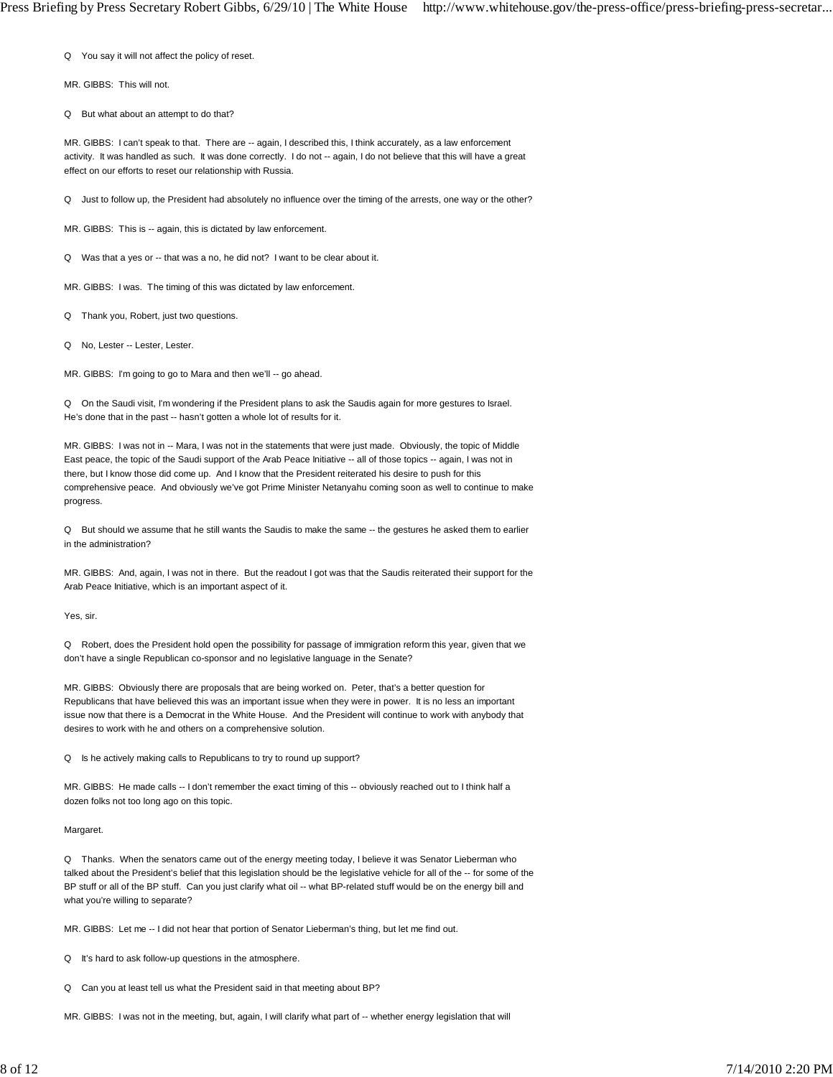Q You say it will not affect the policy of reset.

MR. GIBBS: This will not.

Q But what about an attempt to do that?

MR. GIBBS: I can't speak to that. There are -- again, I described this, I think accurately, as a law enforcement activity. It was handled as such. It was done correctly. I do not -- again, I do not believe that this will have a great effect on our efforts to reset our relationship with Russia.

Q Just to follow up, the President had absolutely no influence over the timing of the arrests, one way or the other?

MR. GIBBS: This is -- again, this is dictated by law enforcement.

Q Was that a yes or -- that was a no, he did not? I want to be clear about it.

MR. GIBBS: I was. The timing of this was dictated by law enforcement.

Q Thank you, Robert, just two questions.

Q No, Lester -- Lester, Lester.

MR. GIBBS: I'm going to go to Mara and then we'll -- go ahead.

Q On the Saudi visit, I'm wondering if the President plans to ask the Saudis again for more gestures to Israel. He's done that in the past -- hasn't gotten a whole lot of results for it.

MR. GIBBS: I was not in -- Mara, I was not in the statements that were just made. Obviously, the topic of Middle East peace, the topic of the Saudi support of the Arab Peace Initiative -- all of those topics -- again, I was not in there, but I know those did come up. And I know that the President reiterated his desire to push for this comprehensive peace. And obviously we've got Prime Minister Netanyahu coming soon as well to continue to make progress.

Q But should we assume that he still wants the Saudis to make the same -- the gestures he asked them to earlier in the administration?

MR. GIBBS: And, again, I was not in there. But the readout I got was that the Saudis reiterated their support for the Arab Peace Initiative, which is an important aspect of it.

Yes, sir.

Q Robert, does the President hold open the possibility for passage of immigration reform this year, given that we don't have a single Republican co-sponsor and no legislative language in the Senate?

MR. GIBBS: Obviously there are proposals that are being worked on. Peter, that's a better question for Republicans that have believed this was an important issue when they were in power. It is no less an important issue now that there is a Democrat in the White House. And the President will continue to work with anybody that desires to work with he and others on a comprehensive solution.

Q Is he actively making calls to Republicans to try to round up support?

MR. GIBBS: He made calls -- I don't remember the exact timing of this -- obviously reached out to I think half a dozen folks not too long ago on this topic.

Margaret.

Q Thanks. When the senators came out of the energy meeting today, I believe it was Senator Lieberman who talked about the President's belief that this legislation should be the legislative vehicle for all of the -- for some of the BP stuff or all of the BP stuff. Can you just clarify what oil -- what BP-related stuff would be on the energy bill and what you're willing to separate?

MR. GIBBS: Let me -- I did not hear that portion of Senator Lieberman's thing, but let me find out.

Q It's hard to ask follow-up questions in the atmosphere.

Q Can you at least tell us what the President said in that meeting about BP?

MR. GIBBS: I was not in the meeting, but, again, I will clarify what part of -- whether energy legislation that will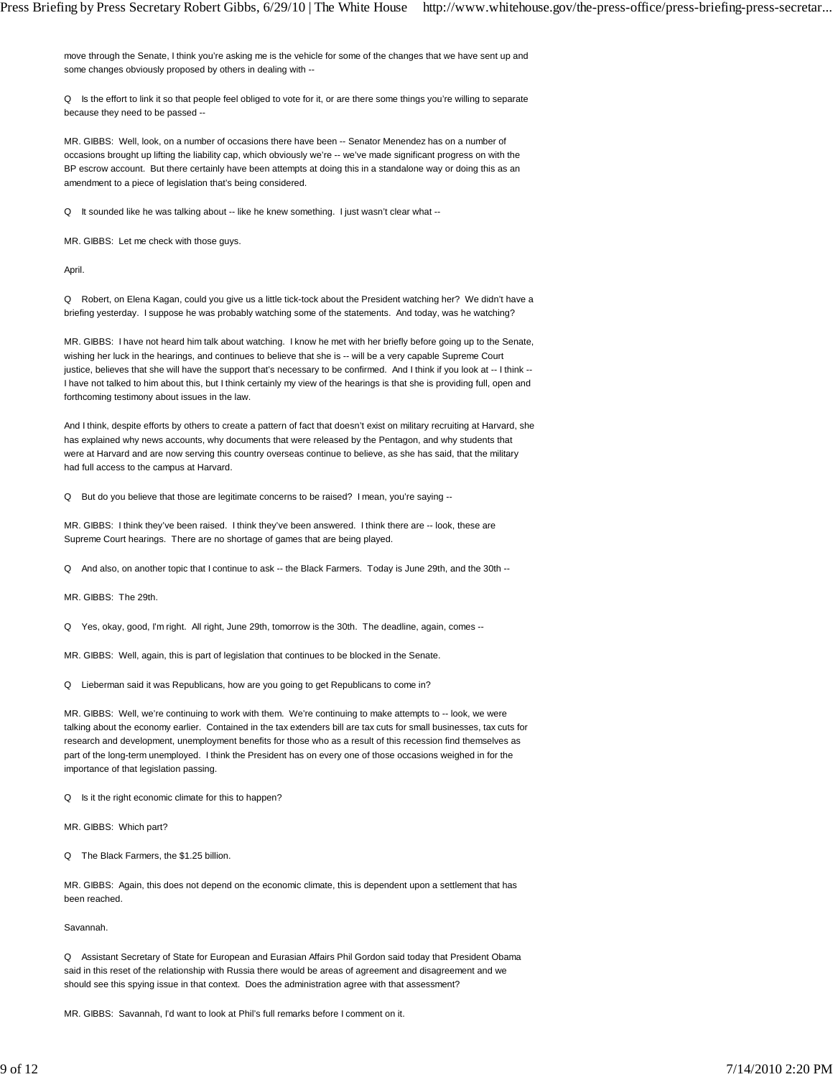move through the Senate, I think you're asking me is the vehicle for some of the changes that we have sent up and some changes obviously proposed by others in dealing with --

Q Is the effort to link it so that people feel obliged to vote for it, or are there some things you're willing to separate because they need to be passed --

MR. GIBBS: Well, look, on a number of occasions there have been -- Senator Menendez has on a number of occasions brought up lifting the liability cap, which obviously we're -- we've made significant progress on with the BP escrow account. But there certainly have been attempts at doing this in a standalone way or doing this as an amendment to a piece of legislation that's being considered.

Q It sounded like he was talking about -- like he knew something. I just wasn't clear what --

MR. GIBBS: Let me check with those guys.

April.

Q Robert, on Elena Kagan, could you give us a little tick-tock about the President watching her? We didn't have a briefing yesterday. I suppose he was probably watching some of the statements. And today, was he watching?

MR. GIBBS: I have not heard him talk about watching. I know he met with her briefly before going up to the Senate, wishing her luck in the hearings, and continues to believe that she is -- will be a very capable Supreme Court justice, believes that she will have the support that's necessary to be confirmed. And I think if you look at -- I think --I have not talked to him about this, but I think certainly my view of the hearings is that she is providing full, open and forthcoming testimony about issues in the law.

And I think, despite efforts by others to create a pattern of fact that doesn't exist on military recruiting at Harvard, she has explained why news accounts, why documents that were released by the Pentagon, and why students that were at Harvard and are now serving this country overseas continue to believe, as she has said, that the military had full access to the campus at Harvard.

Q But do you believe that those are legitimate concerns to be raised? I mean, you're saying --

MR. GIBBS: I think they've been raised. I think they've been answered. I think there are -- look, these are Supreme Court hearings. There are no shortage of games that are being played.

Q And also, on another topic that I continue to ask -- the Black Farmers. Today is June 29th, and the 30th --

MR. GIBBS: The 29th.

Q Yes, okay, good, I'm right. All right, June 29th, tomorrow is the 30th. The deadline, again, comes --

MR. GIBBS: Well, again, this is part of legislation that continues to be blocked in the Senate.

Q Lieberman said it was Republicans, how are you going to get Republicans to come in?

MR. GIBBS: Well, we're continuing to work with them. We're continuing to make attempts to -- look, we were talking about the economy earlier. Contained in the tax extenders bill are tax cuts for small businesses, tax cuts for research and development, unemployment benefits for those who as a result of this recession find themselves as part of the long-term unemployed. I think the President has on every one of those occasions weighed in for the importance of that legislation passing.

Q Is it the right economic climate for this to happen?

MR. GIBBS: Which part?

Q The Black Farmers, the \$1.25 billion.

MR. GIBBS: Again, this does not depend on the economic climate, this is dependent upon a settlement that has been reached.

Savannah.

Q Assistant Secretary of State for European and Eurasian Affairs Phil Gordon said today that President Obama said in this reset of the relationship with Russia there would be areas of agreement and disagreement and we should see this spying issue in that context. Does the administration agree with that assessment?

MR. GIBBS: Savannah, I'd want to look at Phil's full remarks before I comment on it.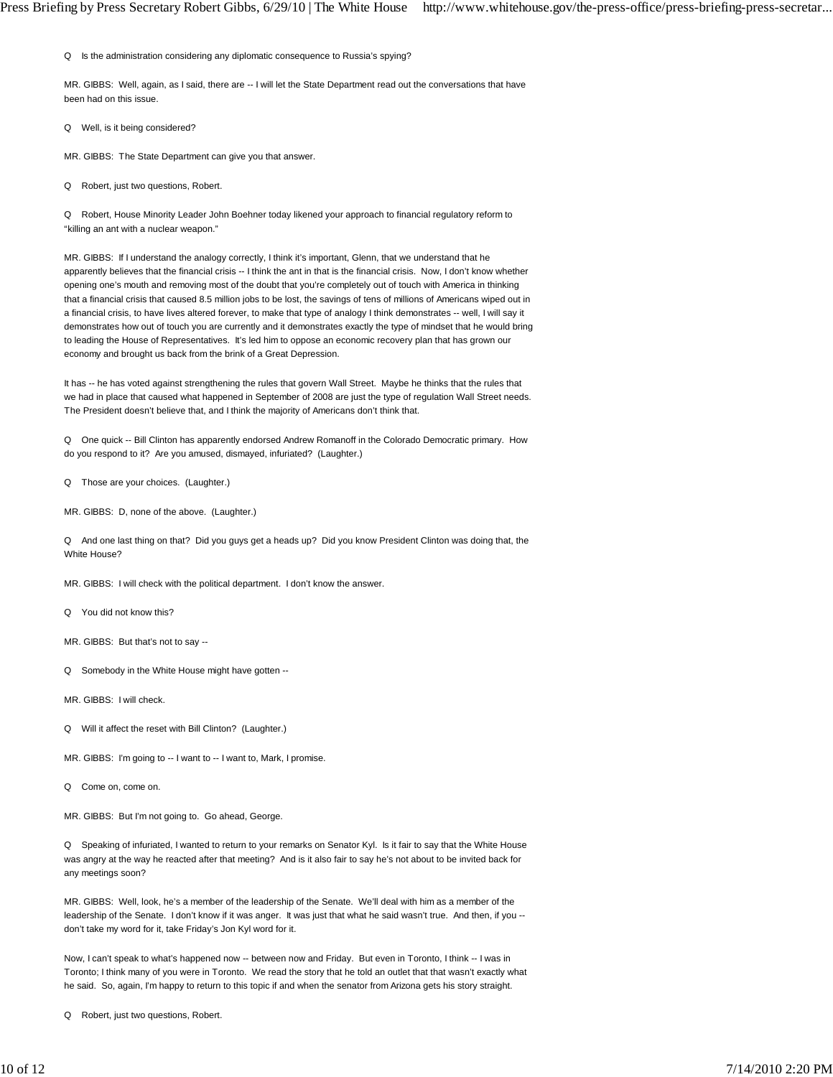Q Is the administration considering any diplomatic consequence to Russia's spying?

MR. GIBBS: Well, again, as I said, there are -- I will let the State Department read out the conversations that have been had on this issue.

Q Well, is it being considered?

MR. GIBBS: The State Department can give you that answer.

Q Robert, just two questions, Robert.

Q Robert, House Minority Leader John Boehner today likened your approach to financial regulatory reform to "killing an ant with a nuclear weapon."

MR. GIBBS: If I understand the analogy correctly, I think it's important, Glenn, that we understand that he apparently believes that the financial crisis -- I think the ant in that is the financial crisis. Now, I don't know whether opening one's mouth and removing most of the doubt that you're completely out of touch with America in thinking that a financial crisis that caused 8.5 million jobs to be lost, the savings of tens of millions of Americans wiped out in a financial crisis, to have lives altered forever, to make that type of analogy I think demonstrates -- well, I will say it demonstrates how out of touch you are currently and it demonstrates exactly the type of mindset that he would bring to leading the House of Representatives. It's led him to oppose an economic recovery plan that has grown our economy and brought us back from the brink of a Great Depression.

It has -- he has voted against strengthening the rules that govern Wall Street. Maybe he thinks that the rules that we had in place that caused what happened in September of 2008 are just the type of regulation Wall Street needs. The President doesn't believe that, and I think the majority of Americans don't think that.

Q One quick -- Bill Clinton has apparently endorsed Andrew Romanoff in the Colorado Democratic primary. How do you respond to it? Are you amused, dismayed, infuriated? (Laughter.)

Q Those are your choices. (Laughter.)

MR. GIBBS: D, none of the above. (Laughter.)

Q And one last thing on that? Did you guys get a heads up? Did you know President Clinton was doing that, the White House?

MR. GIBBS: I will check with the political department. I don't know the answer.

Q You did not know this?

MR. GIBBS: But that's not to say --

Q Somebody in the White House might have gotten --

MR. GIBBS: I will check.

- Q Will it affect the reset with Bill Clinton? (Laughter.)
- MR. GIBBS: I'm going to -- I want to -- I want to, Mark, I promise.

Q Come on, come on.

MR. GIBBS: But I'm not going to. Go ahead, George.

Q Speaking of infuriated, I wanted to return to your remarks on Senator Kyl. Is it fair to say that the White House was angry at the way he reacted after that meeting? And is it also fair to say he's not about to be invited back for any meetings soon?

MR. GIBBS: Well, look, he's a member of the leadership of the Senate. We'll deal with him as a member of the leadership of the Senate. I don't know if it was anger. It was just that what he said wasn't true. And then, if you -don't take my word for it, take Friday's Jon Kyl word for it.

Now, I can't speak to what's happened now -- between now and Friday. But even in Toronto, I think -- I was in Toronto; I think many of you were in Toronto. We read the story that he told an outlet that that wasn't exactly what he said. So, again, I'm happy to return to this topic if and when the senator from Arizona gets his story straight.

Q Robert, just two questions, Robert.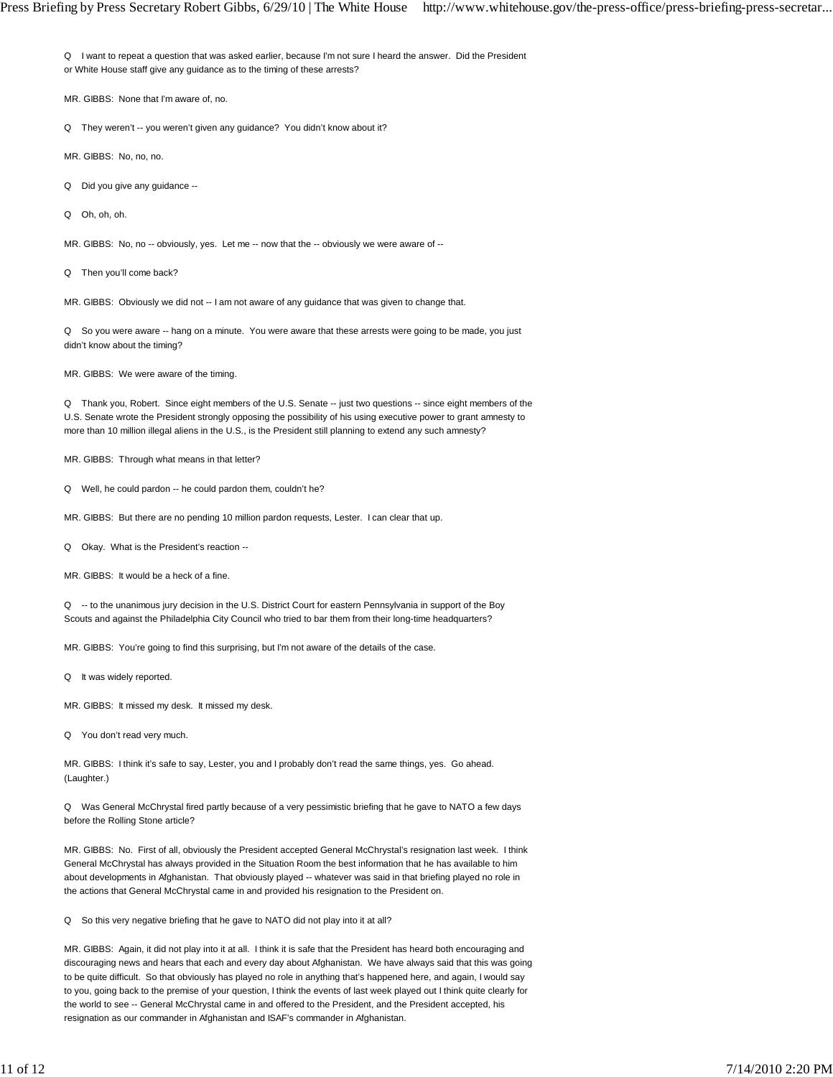Q I want to repeat a question that was asked earlier, because I'm not sure I heard the answer. Did the President or White House staff give any guidance as to the timing of these arrests?

MR. GIBBS: None that I'm aware of, no.

Q They weren't -- you weren't given any guidance? You didn't know about it?

MR. GIBBS: No, no, no.

Q Did you give any guidance --

Q Oh, oh, oh.

MR. GIBBS: No, no -- obviously, yes. Let me -- now that the -- obviously we were aware of --

Q Then you'll come back?

MR. GIBBS: Obviously we did not -- I am not aware of any guidance that was given to change that.

Q So you were aware -- hang on a minute. You were aware that these arrests were going to be made, you just didn't know about the timing?

MR. GIBBS: We were aware of the timing.

Q Thank you, Robert. Since eight members of the U.S. Senate -- just two questions -- since eight members of the U.S. Senate wrote the President strongly opposing the possibility of his using executive power to grant amnesty to more than 10 million illegal aliens in the U.S., is the President still planning to extend any such amnesty?

MR. GIBBS: Through what means in that letter?

Q Well, he could pardon -- he could pardon them, couldn't he?

MR. GIBBS: But there are no pending 10 million pardon requests, Lester. I can clear that up.

Q Okay. What is the President's reaction --

MR. GIBBS: It would be a heck of a fine.

Q -- to the unanimous jury decision in the U.S. District Court for eastern Pennsylvania in support of the Boy Scouts and against the Philadelphia City Council who tried to bar them from their long-time headquarters?

MR. GIBBS: You're going to find this surprising, but I'm not aware of the details of the case.

Q It was widely reported.

MR. GIBBS: It missed my desk. It missed my desk.

Q You don't read very much.

MR. GIBBS: I think it's safe to say, Lester, you and I probably don't read the same things, yes. Go ahead. (Laughter.)

Q Was General McChrystal fired partly because of a very pessimistic briefing that he gave to NATO a few days before the Rolling Stone article?

MR. GIBBS: No. First of all, obviously the President accepted General McChrystal's resignation last week. I think General McChrystal has always provided in the Situation Room the best information that he has available to him about developments in Afghanistan. That obviously played -- whatever was said in that briefing played no role in the actions that General McChrystal came in and provided his resignation to the President on.

Q So this very negative briefing that he gave to NATO did not play into it at all?

MR. GIBBS: Again, it did not play into it at all. I think it is safe that the President has heard both encouraging and discouraging news and hears that each and every day about Afghanistan. We have always said that this was going to be quite difficult. So that obviously has played no role in anything that's happened here, and again, I would say to you, going back to the premise of your question, I think the events of last week played out I think quite clearly for the world to see -- General McChrystal came in and offered to the President, and the President accepted, his resignation as our commander in Afghanistan and ISAF's commander in Afghanistan.